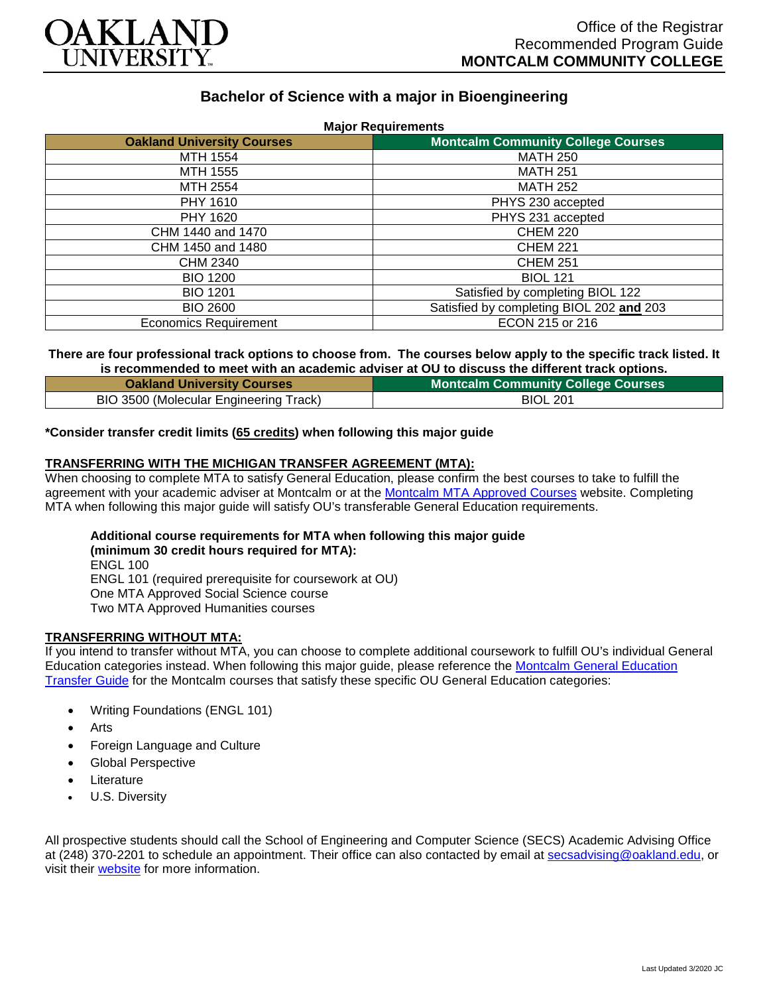

# **Bachelor of Science with a major in Bioengineering**

| <b>Major Requirements</b>         |                                           |
|-----------------------------------|-------------------------------------------|
| <b>Oakland University Courses</b> | <b>Montcalm Community College Courses</b> |
| MTH 1554                          | <b>MATH 250</b>                           |
| MTH 1555                          | <b>MATH 251</b>                           |
| MTH 2554                          | <b>MATH 252</b>                           |
| PHY 1610                          | PHYS 230 accepted                         |
| PHY 1620                          | PHYS 231 accepted                         |
| CHM 1440 and 1470                 | <b>CHEM 220</b>                           |
| CHM 1450 and 1480                 | <b>CHEM 221</b>                           |
| CHM 2340                          | <b>CHEM 251</b>                           |
| <b>BIO 1200</b>                   | <b>BIOL 121</b>                           |
| <b>BIO 1201</b>                   | Satisfied by completing BIOL 122          |
| <b>BIO 2600</b>                   | Satisfied by completing BIOL 202 and 203  |
| <b>Economics Requirement</b>      | ECON 215 or 216                           |

#### **There are four professional track options to choose from. The courses below apply to the specific track listed. It is recommended to meet with an academic adviser at OU to discuss the different track options.**

| <b>Oakland University Courses</b>      | <b>Montcalm Community College Courses</b> |
|----------------------------------------|-------------------------------------------|
| BIO 3500 (Molecular Engineering Track) | <b>BIOL 201</b>                           |

## **\*Consider transfer credit limits (65 credits) when following this major guide**

## **TRANSFERRING WITH THE MICHIGAN TRANSFER AGREEMENT (MTA):**

When choosing to complete MTA to satisfy General Education, please confirm the best courses to take to fulfill the agreement with your academic adviser at Montcalm or at the [Montcalm MTA Approved Courses](https://www.montcalm.edu/counseling/transfer/) website. Completing MTA when following this major guide will satisfy OU's transferable General Education requirements.

**Additional course requirements for MTA when following this major guide (minimum 30 credit hours required for MTA):** ENGL 100 ENGL 101 (required prerequisite for coursework at OU)

One MTA Approved Social Science course

Two MTA Approved Humanities courses

#### **TRANSFERRING WITHOUT MTA:**

If you intend to transfer without MTA, you can choose to complete additional coursework to fulfill OU's individual General Education categories instead. When following this major guide, please reference the [Montcalm General Education](https://www.oakland.edu/Assets/Oakland/program-guides/montcalm-community-college/university-general-education-requirements/Montcalm%20Gen%20Ed.pdf)  [Transfer Guide](https://www.oakland.edu/Assets/Oakland/program-guides/montcalm-community-college/university-general-education-requirements/Montcalm%20Gen%20Ed.pdf) for the Montcalm courses that satisfy these specific OU General Education categories:

- Writing Foundations (ENGL 101)
- **Arts**
- Foreign Language and Culture
- Global Perspective
- **Literature**
- U.S. Diversity

All prospective students should call the School of Engineering and Computer Science (SECS) Academic Advising Office at (248) 370-2201 to schedule an appointment. Their office can also contacted by email at [secsadvising@oakland.edu,](mailto:secsadvising@oakland.edu) or visit their [website](https://wwwp.oakland.edu/secs/advising/) for more information.